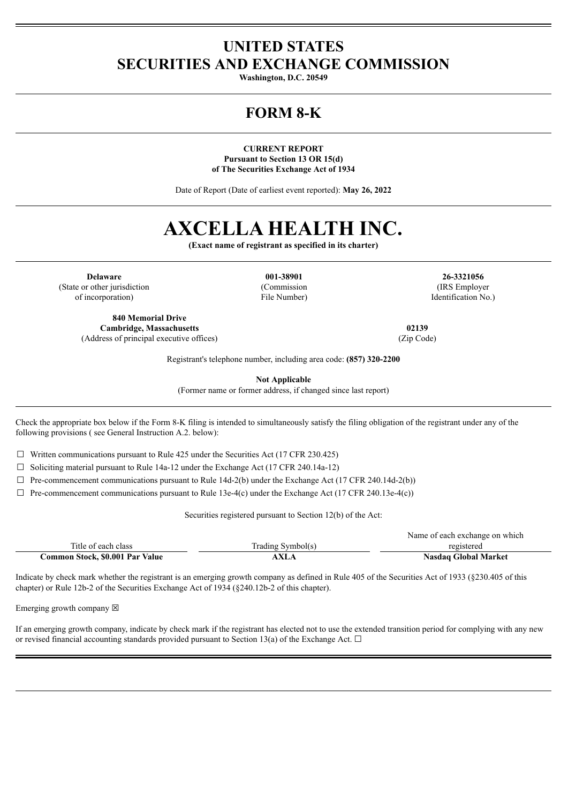## **UNITED STATES SECURITIES AND EXCHANGE COMMISSION**

**Washington, D.C. 20549**

# **FORM 8-K**

**CURRENT REPORT Pursuant to Section 13 OR 15(d) of The Securities Exchange Act of 1934**

Date of Report (Date of earliest event reported): **May 26, 2022**

# **AXCELLA HEALTH INC.**

**(Exact name of registrant as specified in its charter)**

**Delaware 001-38901 26-3321056** (State or other jurisdiction of incorporation)

**840 Memorial Drive Cambridge, Massachusetts 02139** (Address of principal executive offices) (Zip Code)

(Commission File Number)

(IRS Employer Identification No.)

Registrant's telephone number, including area code: **(857) 320-2200**

**Not Applicable**

(Former name or former address, if changed since last report)

Check the appropriate box below if the Form 8-K filing is intended to simultaneously satisfy the filing obligation of the registrant under any of the following provisions ( see General Instruction A.2. below):

 $\Box$  Written communications pursuant to Rule 425 under the Securities Act (17 CFR 230.425)

 $\Box$  Soliciting material pursuant to Rule 14a-12 under the Exchange Act (17 CFR 240.14a-12)

 $\Box$  Pre-commencement communications pursuant to Rule 14d-2(b) under the Exchange Act (17 CFR 240.14d-2(b))

 $\Box$  Pre-commencement communications pursuant to Rule 13e-4(c) under the Exchange Act (17 CFR 240.13e-4(c))

Securities registered pursuant to Section 12(b) of the Act:

|                                 |                   | Name of each exchange on which |
|---------------------------------|-------------------|--------------------------------|
| Title of each class             | Trading Symbol(s) | registered                     |
| Common Stock, \$0.001 Par Value | <b>AXLA</b>       | <b>Nasdaq Global Market</b>    |

Indicate by check mark whether the registrant is an emerging growth company as defined in Rule 405 of the Securities Act of 1933 (§230.405 of this chapter) or Rule 12b-2 of the Securities Exchange Act of 1934 (§240.12b-2 of this chapter).

Emerging growth company  $\boxtimes$ 

If an emerging growth company, indicate by check mark if the registrant has elected not to use the extended transition period for complying with any new or revised financial accounting standards provided pursuant to Section 13(a) of the Exchange Act.  $\Box$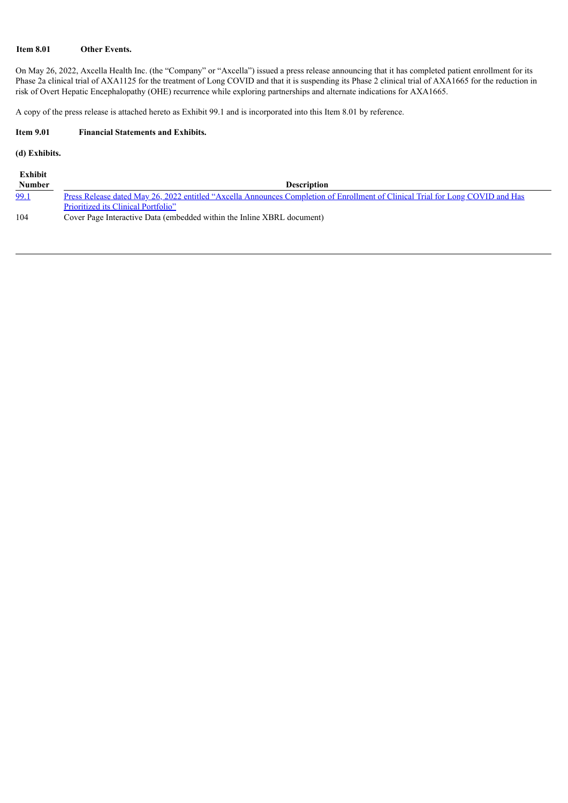## **Item 8.01 Other Events.**

On May 26, 2022, Axcella Health Inc. (the "Company" or "Axcella") issued a press release announcing that it has completed patient enrollment for its Phase 2a clinical trial of AXA1125 for the treatment of Long COVID and that it is suspending its Phase 2 clinical trial of AXA1665 for the reduction in risk of Overt Hepatic Encephalopathy (OHE) recurrence while exploring partnerships and alternate indications for AXA1665.

A copy of the press release is attached hereto as Exhibit 99.1 and is incorporated into this Item 8.01 by reference.

## **Item 9.01 Financial Statements and Exhibits.**

## **(d) Exhibits.**

| Exhibit       |                                                                                                                                |
|---------------|--------------------------------------------------------------------------------------------------------------------------------|
| <b>Number</b> | <b>Description</b>                                                                                                             |
| <u>99.1</u>   | Press Release dated May 26, 2022 entitled "Axcella Announces Completion of Enrollment of Clinical Trial for Long COVID and Has |
|               | Prioritized its Clinical Portfolio"                                                                                            |
| 104           | Cover Page Interactive Data (embedded within the Inline XBRL document)                                                         |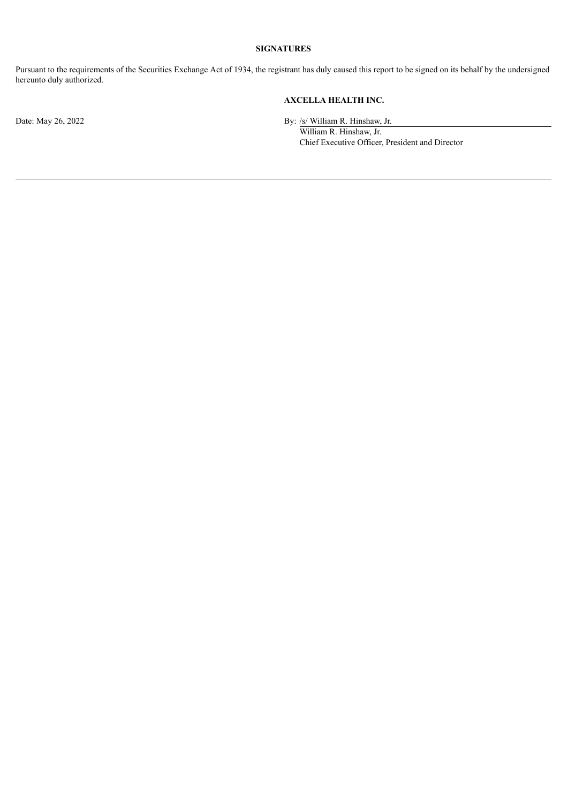## **SIGNATURES**

Pursuant to the requirements of the Securities Exchange Act of 1934, the registrant has duly caused this report to be signed on its behalf by the undersigned hereunto duly authorized.

## **AXCELLA HEALTH INC.**

Date: May 26, 2022 By: /s/ William R. Hinshaw, Jr.

William R. Hinshaw, Jr. Chief Executive Officer, President and Director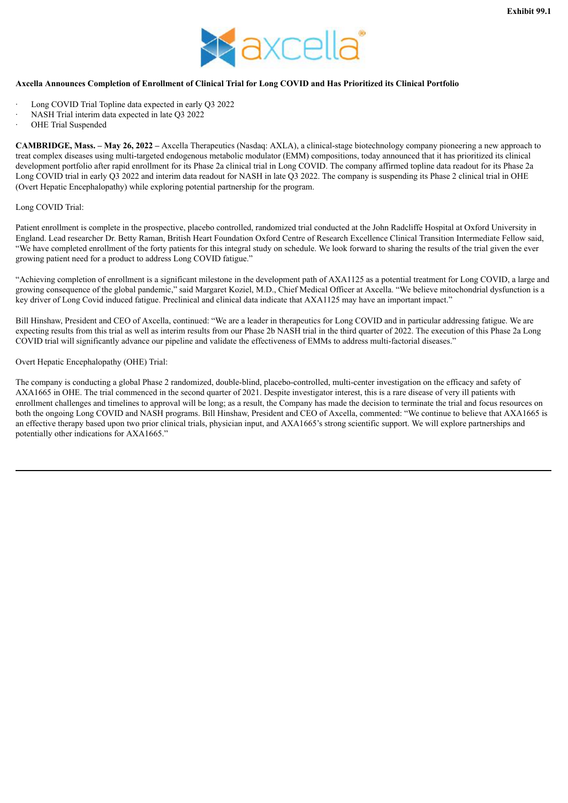

## <span id="page-3-0"></span>Axcella Announces Completion of Enrollment of Clinical Trial for Long COVID and Has Prioritized its Clinical Portfolio

- Long COVID Trial Topline data expected in early O3 2022
- NASH Trial interim data expected in late O3 2022
- OHE Trial Suspended

**CAMBRIDGE, Mass. – May 26, 2022 –** Axcella Therapeutics (Nasdaq: AXLA), a clinical-stage biotechnology company pioneering a new approach to treat complex diseases using multi-targeted endogenous metabolic modulator (EMM) compositions, today announced that it has prioritized its clinical development portfolio after rapid enrollment for its Phase 2a clinical trial in Long COVID. The company affirmed topline data readout for its Phase 2a Long COVID trial in early Q3 2022 and interim data readout for NASH in late Q3 2022. The company is suspending its Phase 2 clinical trial in OHE (Overt Hepatic Encephalopathy) while exploring potential partnership for the program.

#### Long COVID Trial:

Patient enrollment is complete in the prospective, placebo controlled, randomized trial conducted at the John Radcliffe Hospital at Oxford University in England. Lead researcher Dr. Betty Raman, British Heart Foundation Oxford Centre of Research Excellence Clinical Transition Intermediate Fellow said, "We have completed enrollment of the forty patients for this integral study on schedule. We look forward to sharing the results of the trial given the ever growing patient need for a product to address Long COVID fatigue."

"Achieving completion of enrollment is a significant milestone in the development path of AXA1125 as a potential treatment for Long COVID, a large and growing consequence of the global pandemic," said Margaret Koziel, M.D., Chief Medical Officer at Axcella. "We believe mitochondrial dysfunction is a key driver of Long Covid induced fatigue. Preclinical and clinical data indicate that AXA1125 may have an important impact."

Bill Hinshaw, President and CEO of Axcella, continued: "We are a leader in therapeutics for Long COVID and in particular addressing fatigue. We are expecting results from this trial as well as interim results from our Phase 2b NASH trial in the third quarter of 2022. The execution of this Phase 2a Long COVID trial will significantly advance our pipeline and validate the effectiveness of EMMs to address multi-factorial diseases."

## Overt Hepatic Encephalopathy (OHE) Trial:

The company is conducting a global Phase 2 randomized, double-blind, placebo-controlled, multi-center investigation on the efficacy and safety of AXA1665 in OHE. The trial commenced in the second quarter of 2021. Despite investigator interest, this is a rare disease of very ill patients with enrollment challenges and timelines to approval will be long; as a result, the Company has made the decision to terminate the trial and focus resources on both the ongoing Long COVID and NASH programs. Bill Hinshaw, President and CEO of Axcella, commented: "We continue to believe that AXA1665 is an effective therapy based upon two prior clinical trials, physician input, and AXA1665's strong scientific support. We will explore partnerships and potentially other indications for AXA1665."